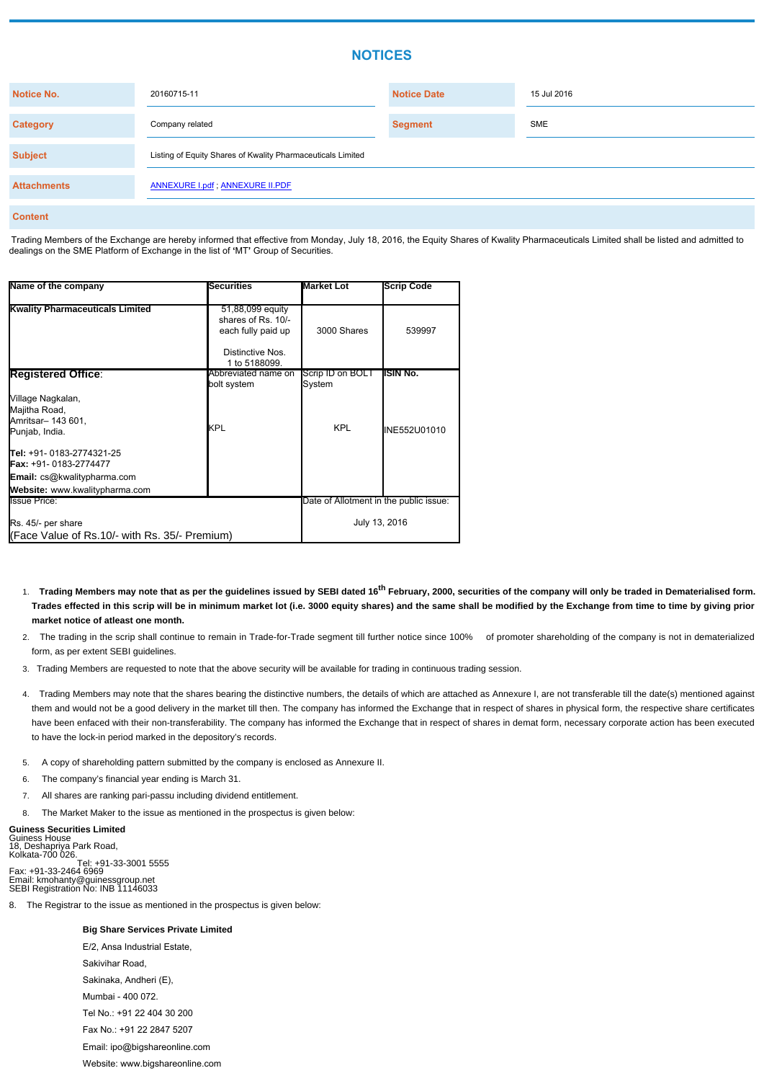# **NOTICES**

| <b>Notice No.</b>  | 20160715-11                                                 | <b>Notice Date</b> | 15 Jul 2016 |
|--------------------|-------------------------------------------------------------|--------------------|-------------|
| <b>Category</b>    | Company related                                             | <b>Segment</b>     | <b>SME</b>  |
| <b>Subject</b>     | Listing of Equity Shares of Kwality Pharmaceuticals Limited |                    |             |
| <b>Attachments</b> | <b>ANNEXURE I.pdf; ANNEXURE II.PDF</b>                      |                    |             |
| <b>Content</b>     |                                                             |                    |             |

Trading Members of the Exchange are hereby informed that effective from Monday, July 18, 2016, the Equity Shares of Kwality Pharmaceuticals Limited shall be listed and admitted to dealings on the SME Platform of Exchange in the list of **'**MT**'** Group of Securities.

- **Trading Members may note that as per the guidelines issued by SEBI dated 16th February, 2000, securities of the company will only be traded in Dematerialised form.** 1. **Trades effected in this scrip will be in minimum market lot (i.e. 3000 equity shares) and the same shall be modified by the Exchange from time to time by giving prior market notice of atleast one month.**
- The trading in the scrip shall continue to remain in Trade-for-Trade segment till further notice since 100% of promoter shareholding of the company is not in dematerialized 2. form, as per extent SEBI guidelines.
- 3. Trading Members are requested to note that the above security will be available for trading in continuous trading session.
- Trading Members may note that the shares bearing the distinctive numbers, the details of which are attached as Annexure I, are not transferable till the date(s) mentioned against 4. them and would not be a good delivery in the market till then. The company has informed the Exchange that in respect of shares in physical form, the respective share certificates have been enfaced with their non-transferability. The company has informed the Exchange that in respect of shares in demat form, necessary corporate action has been executed to have the lock-in period marked in the depository's records.
- 5. A copy of shareholding pattern submitted by the company is enclosed as Annexure II.
- 6. The company's financial year ending is March 31.
- 7. All shares are ranking pari-passu including dividend entitlement.
- The Market Maker to the issue as mentioned in the prospectus is given below:

| 51,88,099 equity<br>shares of Rs. 10/-                              |                    |                                                                             |
|---------------------------------------------------------------------|--------------------|-----------------------------------------------------------------------------|
| Distinctive Nos.                                                    | 3000 Shares        | 539997                                                                      |
| 1 to 5188099.                                                       |                    |                                                                             |
| Abbreviated name on<br>bolt system                                  | System             | <b>ISIN No.</b>                                                             |
| IKPL                                                                | <b>KPL</b>         | INE552U01010                                                                |
|                                                                     |                    |                                                                             |
|                                                                     |                    |                                                                             |
|                                                                     |                    |                                                                             |
|                                                                     |                    |                                                                             |
| Rs. 45/- per share<br>(Face Value of Rs.10/- with Rs. 35/- Premium) |                    |                                                                             |
|                                                                     | each fully paid up | Scrip ID on BOLT<br>Date of Allotment in the public issue:<br>July 13, 2016 |

#### **Guiness Securities Limited**

Guiness House 18, Deshapriya Park Road, Kolkata-700 026. Tel: +91-33-3001 5555 Fax: +91-33-2464 6969 Email: kmohanty@guinessgroup.net SEBI Registration No: INB 11146033

8. The Registrar to the issue as mentioned in the prospectus is given below:

### **Big Share Services Private Limited**

E/2, Ansa Industrial Estate,

Sakivihar Road,

Sakinaka, Andheri (E),

Mumbai - 400 072.

Tel No.: +91 22 404 30 200

Fax No.: +91 22 2847 5207

Email: ipo@bigshareonline.com

Website: www.bigshareonline.com